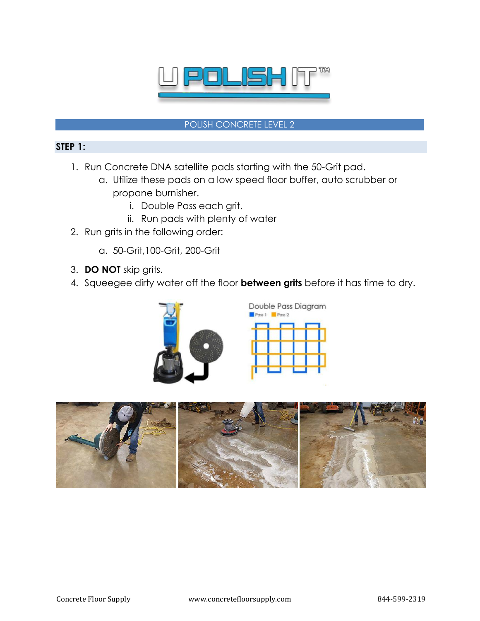

#### POLISH CONCRETE LEVEL 2

### **STEP 1:**

- 1. Run Concrete DNA satellite pads starting with the 50-Grit pad.
	- a. Utilize these pads on a low speed floor buffer, auto scrubber or propane burnisher.
		- i. Double Pass each grit.
		- ii. Run pads with plenty of water
- 2. Run grits in the following order:
	- a. 50-Grit,100-Grit, 200-Grit
- 3. **DO NOT** skip grits.
- 4. Squeegee dirty water off the floor **between grits** before it has time to dry.



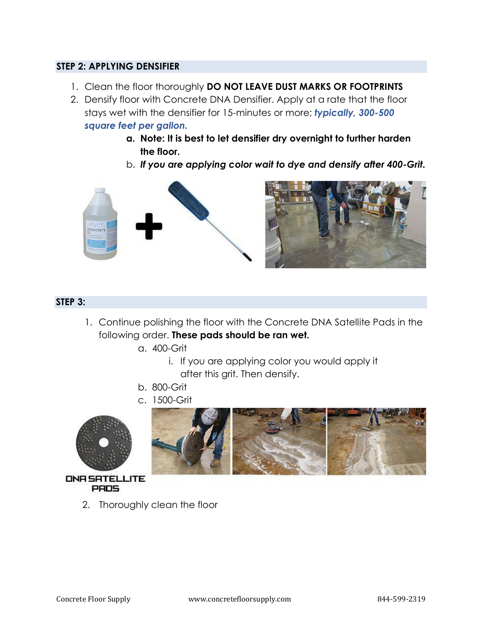## **STEP 2: APPLYING DENSIFIER**

- 1. Clean the floor thoroughly **DO NOT LEAVE DUST MARKS OR FOOTPRINTS**
- 2. Densify floor with Concrete DNA Densifier. Apply at a rate that the floor stays wet with the densifier for 15-minutes or more; *typically, 300-500 square feet per gallon.* 
	- **a. Note: It is best to let densifier dry overnight to further harden the floor.**
	- b. *If you are applying color wait to dye and densify after 400-Grit.*



### **STEP 3:**

- 1. Continue polishing the floor with the Concrete DNA Satellite Pads in the following order. **These pads should be ran wet.**
	- a. 400-Grit
		- i. If you are applying color you would apply it after this grit. Then densify.
	- b. 800-Grit
	- c. 1500-Grit







*ONR SRTELLITE* **PRDS** 

2. Thoroughly clean the floor